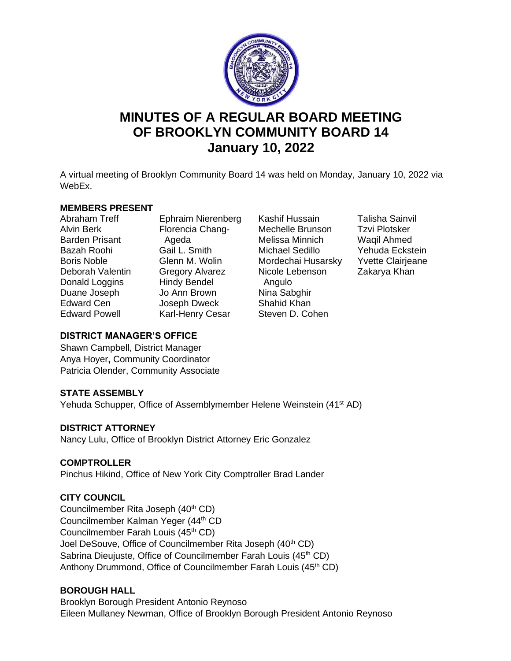

# **MINUTES OF A REGULAR BOARD MEETING OF BROOKLYN COMMUNITY BOARD 14 January 10, 2022**

A virtual meeting of Brooklyn Community Board 14 was held on Monday, January 10, 2022 via WebEx.

#### **MEMBERS PRESENT**

Abraham Treff Alvin Berk Barden Prisant Bazah Roohi Boris Noble Deborah Valentin Donald Loggins Duane Joseph Edward Cen Edward Powell

Ephraim Nierenberg Florencia Chang- Ageda Gail L. Smith Glenn M. Wolin Gregory Alvarez Hindy Bendel Jo Ann Brown Joseph Dweck Karl-Henry Cesar

- Kashif Hussain Mechelle Brunson Melissa Minnich Michael Sedillo Mordechai Husarsky Nicole Lebenson Angulo Nina Sabghir Shahid Khan Steven D. Cohen
- Talisha Sainvil Tzvi Plotsker Waqil Ahmed Yehuda Eckstein Yvette Clairjeane Zakarya Khan

## **DISTRICT MANAGER'S OFFICE**

Shawn Campbell, District Manager Anya Hoyer**,** Community Coordinator Patricia Olender, Community Associate

# **STATE ASSEMBLY**

Yehuda Schupper, Office of Assemblymember Helene Weinstein (41<sup>st</sup> AD)

# **DISTRICT ATTORNEY**

Nancy Lulu, Office of Brooklyn District Attorney Eric Gonzalez

# **COMPTROLLER**

Pinchus Hikind, Office of New York City Comptroller Brad Lander

# **CITY COUNCIL**

Councilmember Rita Joseph (40<sup>th</sup> CD) Councilmember Kalman Yeger (44<sup>th</sup> CD Councilmember Farah Louis (45<sup>th</sup> CD) Joel DeSouve, Office of Councilmember Rita Joseph (40<sup>th</sup> CD) Sabrina Dieujuste, Office of Councilmember Farah Louis (45<sup>th</sup> CD) Anthony Drummond, Office of Councilmember Farah Louis (45<sup>th</sup> CD)

# **BOROUGH HALL**

Brooklyn Borough President Antonio Reynoso Eileen Mullaney Newman, Office of Brooklyn Borough President Antonio Reynoso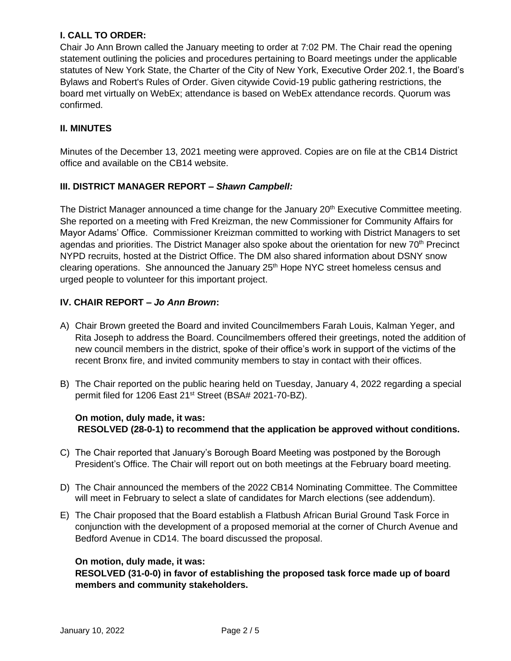## **I. CALL TO ORDER:**

Chair Jo Ann Brown called the January meeting to order at 7:02 PM. The Chair read the opening statement outlining the policies and procedures pertaining to Board meetings under the applicable statutes of New York State, the Charter of the City of New York, Executive Order 202.1, the Board's Bylaws and Robert's Rules of Order. Given citywide Covid-19 public gathering restrictions, the board met virtually on WebEx; attendance is based on WebEx attendance records. Quorum was confirmed.

## **II. MINUTES**

Minutes of the December 13, 2021 meeting were approved. Copies are on file at the CB14 District office and available on the CB14 website.

## **III. DISTRICT MANAGER REPORT –** *Shawn Campbell:*

The District Manager announced a time change for the January 20<sup>th</sup> Executive Committee meeting. She reported on a meeting with Fred Kreizman, the new Commissioner for Community Affairs for Mayor Adams' Office. Commissioner Kreizman committed to working with District Managers to set agendas and priorities. The District Manager also spoke about the orientation for new 70<sup>th</sup> Precinct NYPD recruits, hosted at the District Office. The DM also shared information about DSNY snow clearing operations. She announced the January 25<sup>th</sup> Hope NYC street homeless census and urged people to volunteer for this important project.

# **IV. CHAIR REPORT –** *Jo Ann Brown***:**

- A) Chair Brown greeted the Board and invited Councilmembers Farah Louis, Kalman Yeger, and Rita Joseph to address the Board. Councilmembers offered their greetings, noted the addition of new council members in the district, spoke of their office's work in support of the victims of the recent Bronx fire, and invited community members to stay in contact with their offices.
- B) The Chair reported on the public hearing held on Tuesday, January 4, 2022 regarding a special permit filed for 1206 East 21<sup>st</sup> Street (BSA# 2021-70-BZ).

## **On motion, duly made, it was: RESOLVED (28-0-1) to recommend that the application be approved without conditions.**

- C) The Chair reported that January's Borough Board Meeting was postponed by the Borough President's Office. The Chair will report out on both meetings at the February board meeting.
- D) The Chair announced the members of the 2022 CB14 Nominating Committee. The Committee will meet in February to select a slate of candidates for March elections (see addendum).
- E) The Chair proposed that the Board establish a Flatbush African Burial Ground Task Force in conjunction with the development of a proposed memorial at the corner of Church Avenue and Bedford Avenue in CD14. The board discussed the proposal.

## **On motion, duly made, it was:**

**RESOLVED (31-0-0) in favor of establishing the proposed task force made up of board members and community stakeholders.**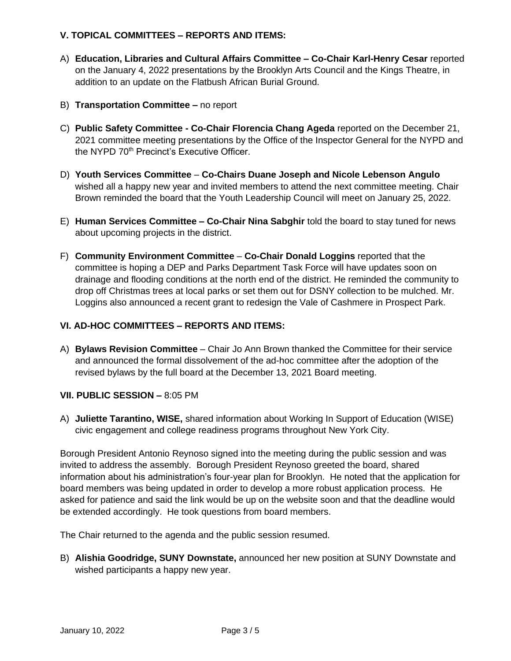## **V. TOPICAL COMMITTEES – REPORTS AND ITEMS:**

- A) **Education, Libraries and Cultural Affairs Committee – Co-Chair Karl-Henry Cesar** reported on the January 4, 2022 presentations by the Brooklyn Arts Council and the Kings Theatre, in addition to an update on the Flatbush African Burial Ground.
- B) **Transportation Committee –** no report
- C) **Public Safety Committee - Co-Chair Florencia Chang Ageda** reported on the December 21, 2021 committee meeting presentations by the Office of the Inspector General for the NYPD and the NYPD 70<sup>th</sup> Precinct's Executive Officer.
- D) **Youth Services Committee Co-Chairs Duane Joseph and Nicole Lebenson Angulo** wished all a happy new year and invited members to attend the next committee meeting. Chair Brown reminded the board that the Youth Leadership Council will meet on January 25, 2022.
- E) **Human Services Committee – Co-Chair Nina Sabghir** told the board to stay tuned for news about upcoming projects in the district.
- F) **Community Environment Committee Co-Chair Donald Loggins** reported that the committee is hoping a DEP and Parks Department Task Force will have updates soon on drainage and flooding conditions at the north end of the district. He reminded the community to drop off Christmas trees at local parks or set them out for DSNY collection to be mulched. Mr. Loggins also announced a recent grant to redesign the Vale of Cashmere in Prospect Park.

# **VI. AD-HOC COMMITTEES – REPORTS AND ITEMS:**

A) **Bylaws Revision Committee** – Chair Jo Ann Brown thanked the Committee for their service and announced the formal dissolvement of the ad-hoc committee after the adoption of the revised bylaws by the full board at the December 13, 2021 Board meeting.

## **VII. PUBLIC SESSION –** 8:05 PM

A) **Juliette Tarantino, WISE,** shared information about Working In Support of Education (WISE) civic engagement and college readiness programs throughout New York City.

Borough President Antonio Reynoso signed into the meeting during the public session and was invited to address the assembly. Borough President Reynoso greeted the board, shared information about his administration's four-year plan for Brooklyn. He noted that the application for board members was being updated in order to develop a more robust application process. He asked for patience and said the link would be up on the website soon and that the deadline would be extended accordingly. He took questions from board members.

The Chair returned to the agenda and the public session resumed.

B) **Alishia Goodridge, SUNY Downstate,** announced her new position at SUNY Downstate and wished participants a happy new year.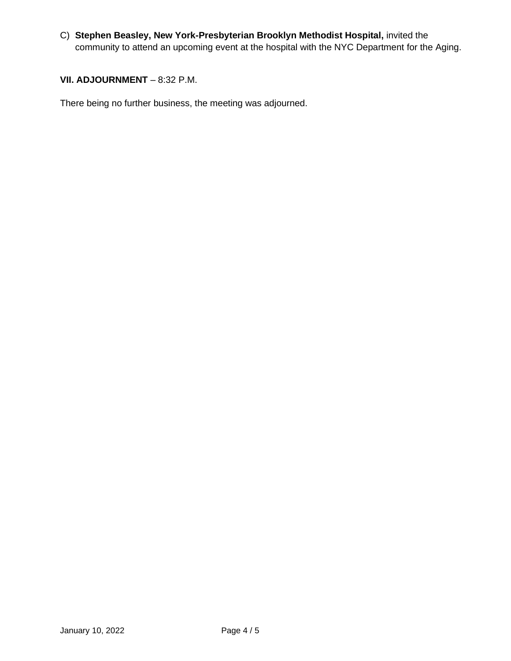C) **Stephen Beasley, New York-Presbyterian Brooklyn Methodist Hospital,** invited the community to attend an upcoming event at the hospital with the NYC Department for the Aging.

#### **VII. ADJOURNMENT - 8:32 P.M.**

There being no further business, the meeting was adjourned.